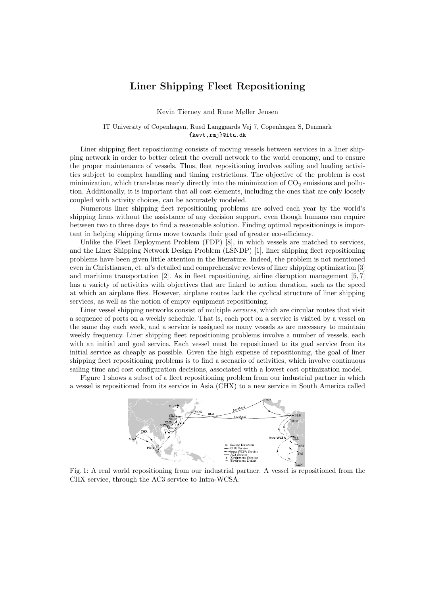## Liner Shipping Fleet Repositioning

Kevin Tierney and Rune Møller Jensen

IT University of Copenhagen, Rued Langgaards Vej 7, Copenhagen S, Denmark {kevt,rmj}@itu.dk

Liner shipping fleet repositioning consists of moving vessels between services in a liner shipping network in order to better orient the overall network to the world economy, and to ensure the proper maintenance of vessels. Thus, fleet repositioning involves sailing and loading activities subject to complex handling and timing restrictions. The objective of the problem is cost minimization, which translates nearly directly into the minimization of  $CO<sub>2</sub>$  emissions and pollution. Additionally, it is important that all cost elements, including the ones that are only loosely coupled with activity choices, can be accurately modeled.

Numerous liner shipping fleet repositioning problems are solved each year by the world's shipping firms without the assistance of any decision support, even though humans can require between two to three days to find a reasonable solution. Finding optimal repositionings is important in helping shipping firms move towards their goal of greater eco-efficiency.

Unlike the Fleet Deployment Problem (FDP) [8], in which vessels are matched to services, and the Liner Shipping Network Design Problem (LSNDP) [1], liner shipping fleet repositioning problems have been given little attention in the literature. Indeed, the problem is not mentioned even in Christiansen, et. al's detailed and comprehensive reviews of liner shipping optimization [3] and maritime transportation [2]. As in fleet repositioning, airline disruption management [5, 7] has a variety of activities with objectives that are linked to action duration, such as the speed at which an airplane flies. However, airplane routes lack the cyclical structure of liner shipping services, as well as the notion of empty equipment repositioning.

Liner vessel shipping networks consist of multiple services, which are circular routes that visit a sequence of ports on a weekly schedule. That is, each port on a service is visited by a vessel on the same day each week, and a service is assigned as many vessels as are necessary to maintain weekly frequency. Liner shipping fleet repositioning problems involve a number of vessels, each with an initial and goal service. Each vessel must be repositioned to its goal service from its initial service as cheaply as possible. Given the high expense of repositioning, the goal of liner shipping fleet repositioning problems is to find a scenario of activities, which involve continuous sailing time and cost configuration decisions, associated with a lowest cost optimization model.

Figure 1 shows a subset of a fleet repositioning problem from our industrial partner in which a vessel is repositioned from its service in Asia (CHX) to a new service in South America called



Fig. 1: A real world repositioning from our industrial partner. A vessel is repositioned from the CHX service, through the AC3 service to Intra-WCSA.